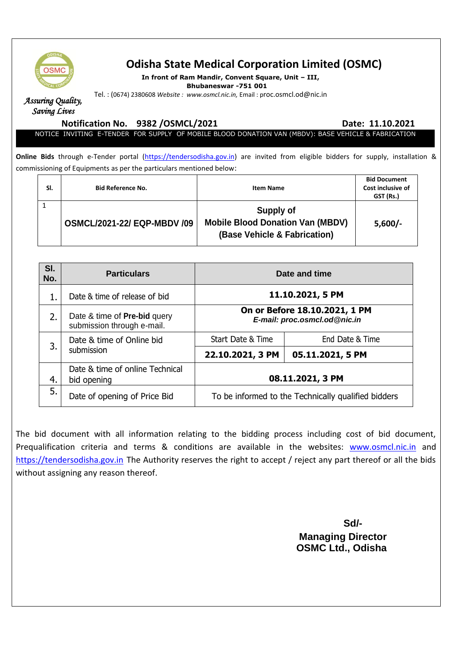

# **Odisha State Medical Corporation Limited (OSMC)**

**In front of Ram Mandir, Convent Square, Unit – III,** 

**Bhubaneswar -751 001**

Tel. : (0674) 2380608 *Website : www.osmcl.nic.in,* Email : proc.osmcl.od@nic.in

*Assuring Quality, Saving Lives* 

**Notification No. 3382 /OSMCL/2021 2010 Date: 11.10.2021** 

NOTICE INVITING E-TENDER FOR SUPPLY OF MOBILE BLOOD DONATION VAN (MBDV): BASE VEHICLE & FABRICATION

**Online Bids** through e-Tender portal [\(https://tendersodisha.gov.in\)](https://tendersodisha.gov.in/) are invited from eligible bidders for supply, installation & commissioning of Equipments as per the particulars mentioned below:

| SI. | <b>Bid Reference No.</b>           | Item Name                                                                            | <b>Bid Document</b><br>Cost inclusive of<br>GST (Rs.) |
|-----|------------------------------------|--------------------------------------------------------------------------------------|-------------------------------------------------------|
|     | <b>OSMCL/2021-22/ EQP-MBDV /09</b> | Supply of<br><b>Mobile Blood Donation Van (MBDV)</b><br>(Base Vehicle & Fabrication) | $5,600/-$                                             |

| SI.<br>No. | <b>Particulars</b>                                                | Date and time                                                 |                  |
|------------|-------------------------------------------------------------------|---------------------------------------------------------------|------------------|
|            | Date & time of release of bid                                     | 11.10.2021, 5 PM                                              |                  |
| 2.         | Date & time of <b>Pre-bid</b> query<br>submission through e-mail. | On or Before 18.10.2021, 1 PM<br>E-mail: proc.osmcl.od@nic.in |                  |
| 3.         | Date & time of Online bid<br>submission                           | Start Date & Time                                             | End Date & Time  |
|            |                                                                   | 22.10.2021, 3 PM                                              | 05.11.2021, 5 PM |
| 4.         | Date & time of online Technical<br>bid opening                    |                                                               | 08.11.2021, 3 PM |
| 5.         | Date of opening of Price Bid                                      | To be informed to the Technically qualified bidders           |                  |

The bid document with all information relating to the bidding process including cost of bid document, Prequalification criteria and terms & conditions are available in the websites: [www.osmcl.nic.in](http://www.osmcl.nic.in/) and [https://tendersodisha.gov.in](https://tendersodisha.gov.in/) The Authority reserves the right to accept / reject any part thereof or all the bids without assigning any reason thereof.

**Sd/-** Samuel Contract of the State of the State of the State of the State of the State of the State of the State of the State of the State of the State of the State of the State of the State of the State of the State of t  **Managing Director OSMC Ltd., Odisha**